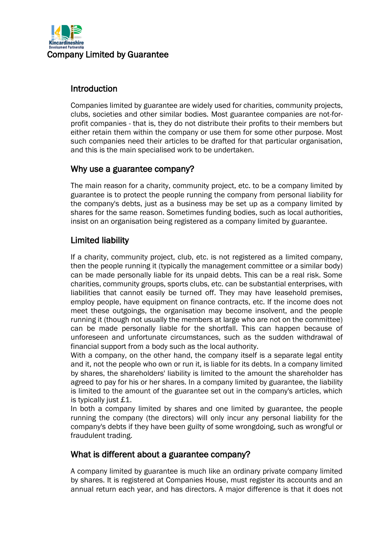

### Introduction

Companies limited by guarantee are widely used for charities, community projects, clubs, societies and other similar bodies. Most guarantee companies are not-forprofit companies - that is, they do not distribute their profits to their members but either retain them within the company or use them for some other purpose. Most such companies need their articles to be drafted for that particular organisation, and this is the main specialised work to be undertaken.

## Why use a guarantee company?

The main reason for a charity, community project, etc. to be a company limited by guarantee is to protect the people running the company from personal liability for the company's debts, just as a business may be set up as a company limited by shares for the same reason. Sometimes funding bodies, such as local authorities, insist on an organisation being registered as a company limited by guarantee.

## Limited liability

If a charity, community project, club, etc. is not registered as a limited company, then the people running it (typically the management committee or a similar body) can be made personally liable for its unpaid debts. This can be a real risk. Some charities, community groups, sports clubs, etc. can be substantial enterprises, with liabilities that cannot easily be turned off. They may have leasehold premises, employ people, have equipment on finance contracts, etc. If the income does not meet these outgoings, the organisation may become insolvent, and the people running it (though not usually the members at large who are not on the committee) can be made personally liable for the shortfall. This can happen because of unforeseen and unfortunate circumstances, such as the sudden withdrawal of financial support from a body such as the local authority.

With a company, on the other hand, the company itself is a separate legal entity and it, not the people who own or run it, is liable for its debts. In a company limited by shares, the shareholders' liability is limited to the amount the shareholder has agreed to pay for his or her shares. In a company limited by guarantee, the liability is limited to the amount of the guarantee set out in the company's articles, which is typically just £1.

In both a company limited by shares and one limited by guarantee, the people running the company (the directors) will only incur any personal liability for the company's debts if they have been guilty of some wrongdoing, such as wrongful or fraudulent trading.

#### What is different about a guarantee company?

A company limited by guarantee is much like an ordinary private company limited by shares. It is registered at Companies House, must register its accounts and an annual return each year, and has directors. A major difference is that it does not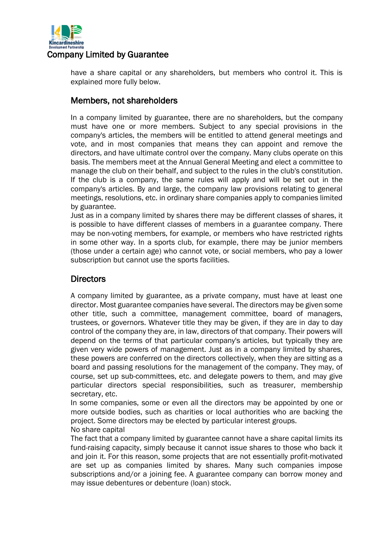

have a share capital or any shareholders, but members who control it. This is explained more fully below.

## Members, not shareholders

In a company limited by guarantee, there are no shareholders, but the company must have one or more members. Subject to any special provisions in the company's articles, the members will be entitled to attend general meetings and vote, and in most companies that means they can appoint and remove the directors, and have ultimate control over the company. Many clubs operate on this basis. The members meet at the Annual General Meeting and elect a committee to manage the club on their behalf, and subject to the rules in the club's constitution. If the club is a company, the same rules will apply and will be set out in the company's articles. By and large, the company law provisions relating to general meetings, resolutions, etc. in ordinary share companies apply to companies limited by guarantee.

Just as in a company limited by shares there may be different classes of shares, it is possible to have different classes of members in a guarantee company. There may be non-voting members, for example, or members who have restricted rights in some other way. In a sports club, for example, there may be junior members (those under a certain age) who cannot vote, or social members, who pay a lower subscription but cannot use the sports facilities.

# **Directors**

A company limited by guarantee, as a private company, must have at least one director. Most guarantee companies have several. The directors may be given some other title, such a committee, management committee, board of managers, trustees, or governors. Whatever title they may be given, if they are in day to day control of the company they are, in law, directors of that company. Their powers will depend on the terms of that particular company's articles, but typically they are given very wide powers of management. Just as in a company limited by shares, these powers are conferred on the directors collectively, when they are sitting as a board and passing resolutions for the management of the company. They may, of course, set up sub-committees, etc. and delegate powers to them, and may give particular directors special responsibilities, such as treasurer, membership secretary, etc.

In some companies, some or even all the directors may be appointed by one or more outside bodies, such as charities or local authorities who are backing the project. Some directors may be elected by particular interest groups. No share capital

The fact that a company limited by guarantee cannot have a share capital limits its fund-raising capacity, simply because it cannot issue shares to those who back it and join it. For this reason, some projects that are not essentially profit-motivated are set up as companies limited by shares. Many such companies impose subscriptions and/or a joining fee. A guarantee company can borrow money and may issue debentures or debenture (loan) stock.